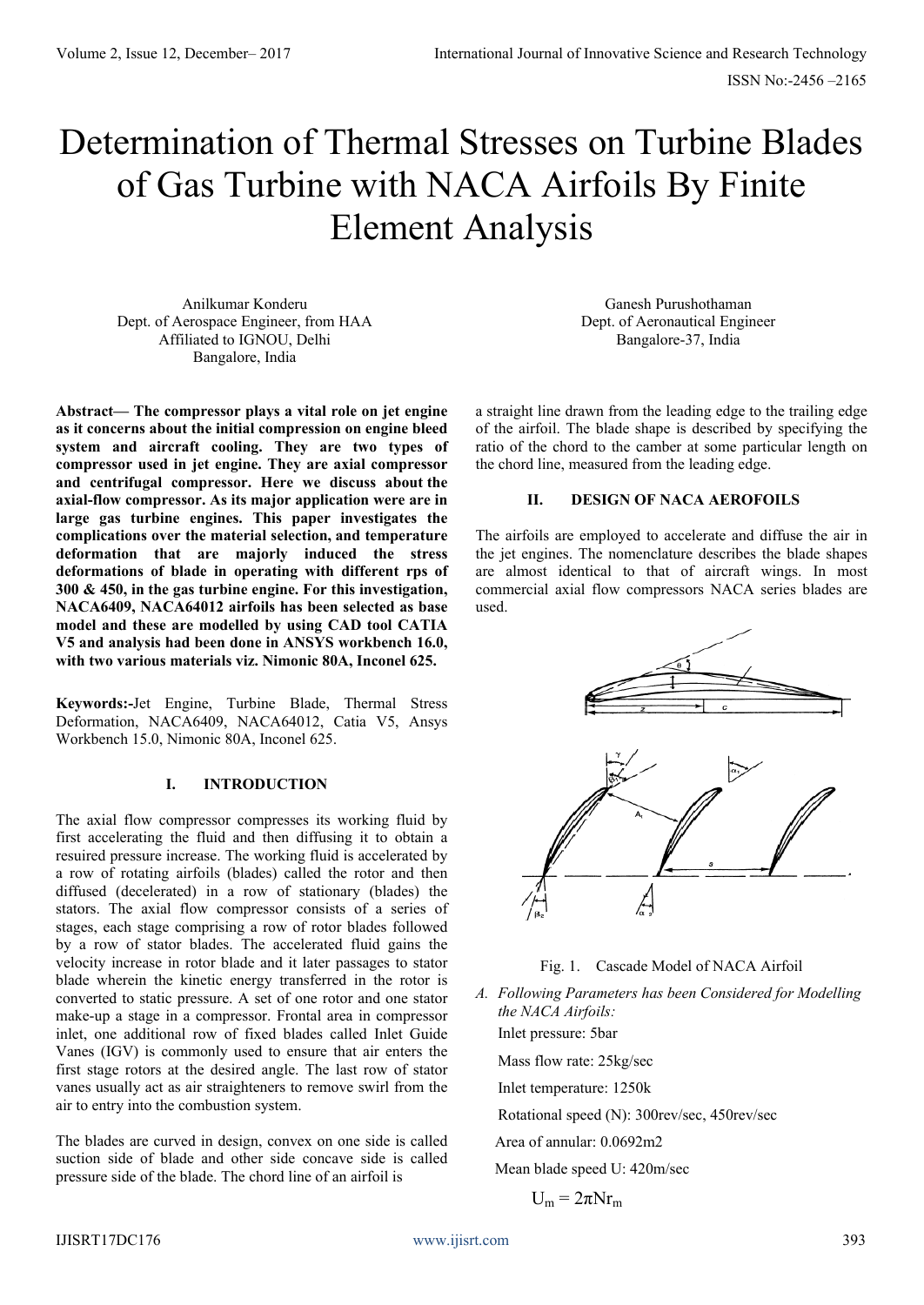# Determination of Thermal Stresses on Turbine Blades of Gas Turbine with NACA Airfoils By Finite Element Analysis

Anilkumar Konderu Dept. of Aerospace Engineer, from HAA Affiliated to IGNOU, Delhi Bangalore, India

**Abstract— The compressor plays a vital role on jet engine as it concerns about the initial compression on engine bleed system and aircraft cooling. They are two types of compressor used in jet engine. They are axial compressor and centrifugal compressor. Here we discuss about the axial-flow compressor. As its major application were are in large gas turbine engines. This paper investigates the complications over the material selection, and temperature deformation that are majorly induced the stress deformations of blade in operating with different rps of 300 & 450, in the gas turbine engine. For this investigation, NACA6409, NACA64012 airfoils has been selected as base model and these are modelled by using CAD tool CATIA V5 and analysis had been done in ANSYS workbench 16.0, with two various materials viz. Nimonic 80A, Inconel 625.**

**Keywords:-**Jet Engine, Turbine Blade, Thermal Stress Deformation, NACA6409, NACA64012, Catia V5, Ansys Workbench 15.0, Nimonic 80A, Inconel 625.

### **I. INTRODUCTION**

The axial flow compressor compresses its working fluid by first accelerating the fluid and then diffusing it to obtain a resuired pressure increase. The working fluid is accelerated by a row of rotating airfoils (blades) called the rotor and then diffused (decelerated) in a row of stationary (blades) the stators. The axial flow compressor consists of a series of stages, each stage comprising a row of rotor blades followed by a row of stator blades. The accelerated fluid gains the velocity increase in rotor blade and it later passages to stator blade wherein the kinetic energy transferred in the rotor is converted to static pressure. A set of one rotor and one stator make-up a stage in a compressor. Frontal area in compressor inlet, one additional row of fixed blades called Inlet Guide Vanes (IGV) is commonly used to ensure that air enters the first stage rotors at the desired angle. The last row of stator vanes usually act as air straighteners to remove swirl from the air to entry into the combustion system.

The blades are curved in design, convex on one side is called suction side of blade and other side concave side is called pressure side of the blade. The chord line of an airfoil is

Ganesh Purushothaman Dept. of Aeronautical Engineer Bangalore-37, India

a straight line drawn from the leading edge to the trailing edge of the airfoil. The blade shape is described by specifying the ratio of the chord to the camber at some particular length on the chord line, measured from the leading edge.

#### **II. DESIGN OF NACA AEROFOILS**

The airfoils are employed to accelerate and diffuse the air in the jet engines. The nomenclature describes the blade shapes are almost identical to that of aircraft wings. In most commercial axial flow compressors NACA series blades are used.



Fig. 1. Cascade Model of NACA Airfoil

*A. Following Parameters has been Considered for Modelling the NACA Airfoils:*

Inlet pressure: 5bar

Mass flow rate: 25kg/sec

Inlet temperature: 1250k

Rotational speed (N): 300rev/sec, 450rev/sec

Area of annular: 0.0692m2

Mean blade speed U: 420m/sec

$$
U_m = 2\pi N r_m
$$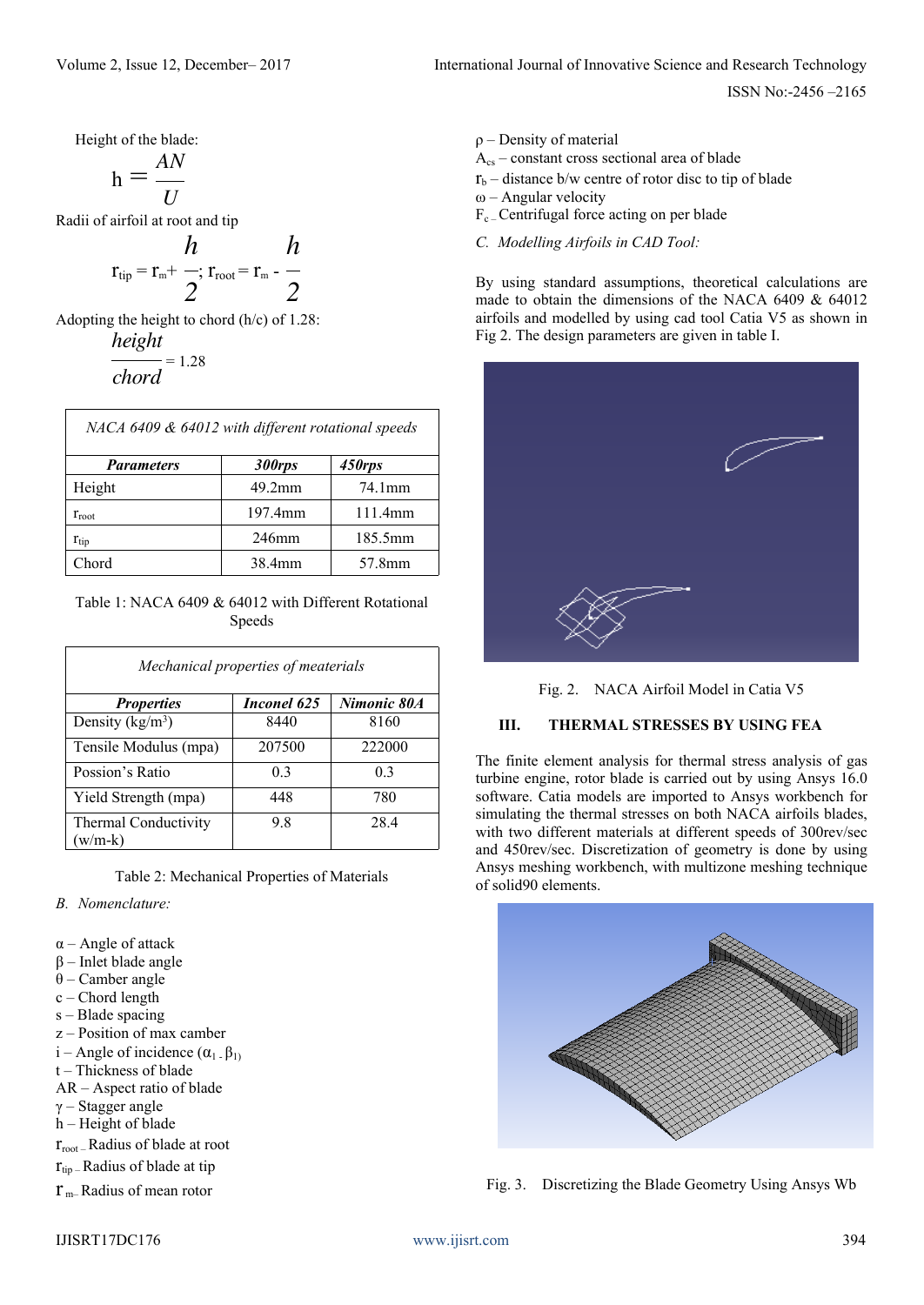ISSN No:-2456 –2165

Height of the blade:

$$
h = \frac{AN}{U}
$$

Radii of airfoil at root and tip

$$
r_{tip} = r_m + \frac{h}{2}; r_{root} = r_m - \frac{h}{2}
$$

Adopting the height to chord (h/c) of 1.28: *height*

$$
\frac{72}{\text{chord}} = 1.28
$$

| NACA 6409 & 64012 with different rotational speeds |         |         |
|----------------------------------------------------|---------|---------|
| <b>Parameters</b>                                  | 300rps  | 450rps  |
| Height                                             | 49.2mm  | 74.1mm  |
| $r_{\text{root}}$                                  | 197.4mm | 111.4mm |
| $r_{\rm tip}$                                      | 246mm   | 185.5mm |
| Chord                                              | 38.4mm  | 57.8mm  |

Table 1: NACA 6409 & 64012 with Different Rotational Speeds

| Mechanical properties of meaterials |                |                |
|-------------------------------------|----------------|----------------|
| <b>Properties</b>                   | Inconel 625    | Nimonic 80A    |
| Density ( $kg/m3$ )                 | 8440           | 8160           |
| Tensile Modulus (mpa)               | 207500         | 222000         |
| Possion's Ratio                     | 0 <sub>3</sub> | 0 <sub>3</sub> |
| Yield Strength (mpa)                | 448            | 780            |
| Thermal Conductivity<br>$w/m-k$     | 9.8            | 28.4           |

Table 2: Mechanical Properties of Materials

- *B. Nomenclature:*
- α Angle of attack
- β Inlet blade angle
- θ Camber angle
- c Chord length
- s Blade spacing
- z Position of max camber
- i Angle of incidence  $(\alpha_1, \beta_1)$
- t Thickness of blade
- AR Aspect ratio of blade
- γ Stagger angle
- h Height of blade
- rroot –Radius of blade at root
- $r_{\text{tip}}$  Radius of blade at tip

 $r_{\rm m}$ – Radius of mean rotor

- ρ Density of material
- Acs constant cross sectional area of blade
- $r_b$  distance b/w centre of rotor disc to tip of blade
- ω Angular velocity
- $F_{c}$  Centrifugal force acting on per blade
- *C. Modelling Airfoils in CAD Tool:*

By using standard assumptions, theoretical calculations are made to obtain the dimensions of the NACA 6409 & 64012 airfoils and modelled by using cad tool Catia V5 as shown in Fig 2. The design parameters are given in table I.





### **III. THERMAL STRESSES BY USING FEA**

The finite element analysis for thermal stress analysis of gas turbine engine, rotor blade is carried out by using Ansys 16.0 software. Catia models are imported to Ansys workbench for simulating the thermal stresses on both NACA airfoils blades, with two different materials at different speeds of 300rev/sec and 450rev/sec. Discretization of geometry is done by using Ansys meshing workbench, with multizone meshing technique of solid90 elements.



Fig. 3. Discretizing the Blade Geometry Using Ansys Wb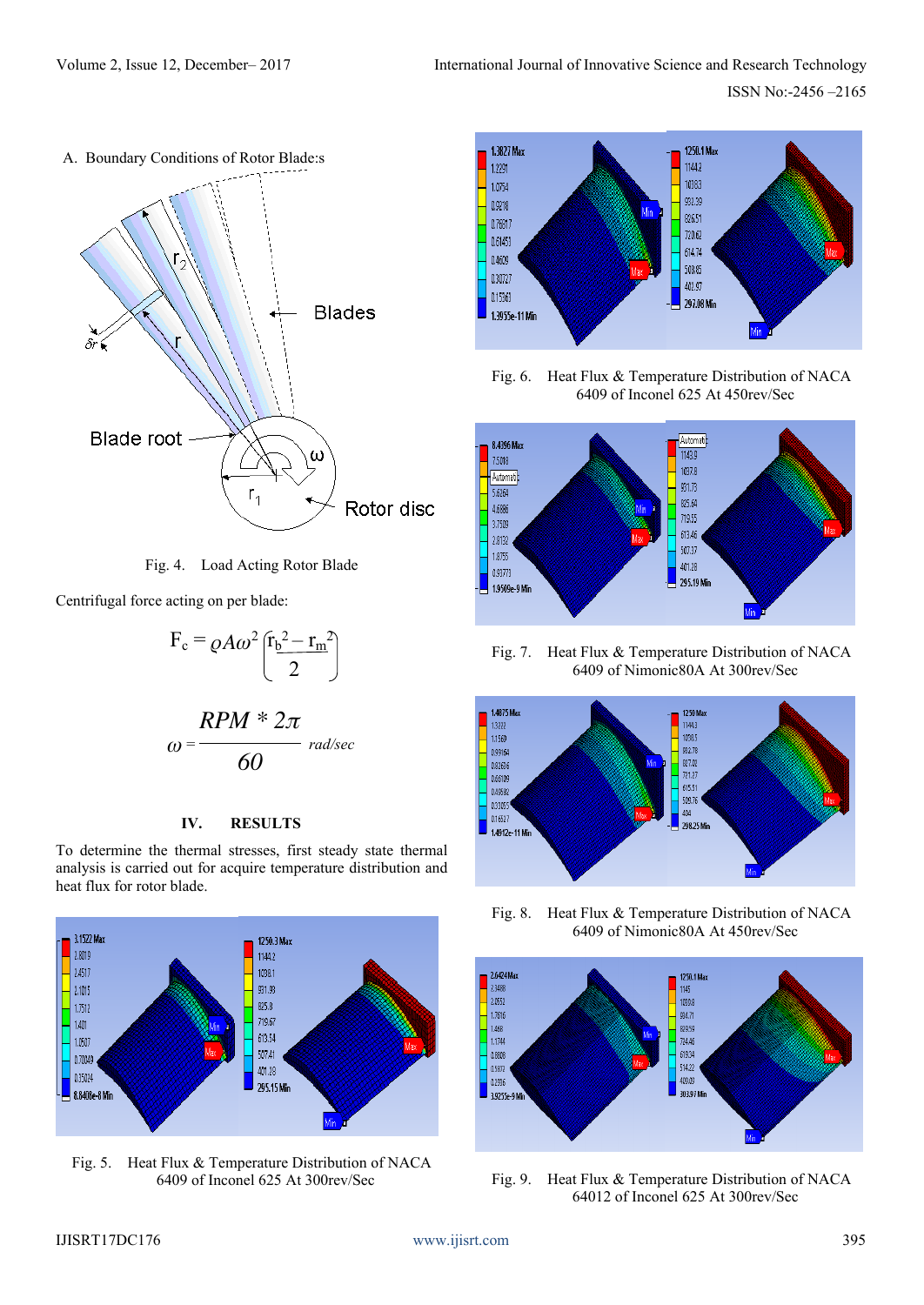



Fig. 4. Load Acting Rotor Blade

Centrifugal force acting on per blade:

$$
F_c = \rho A \omega^2 \left(\frac{r_b^2 - r_m^2}{2}\right)
$$

$$
\omega = \frac{RPM * 2\pi}{60}
$$
 rad/sec

## **IV. RESULTS**

To determine the thermal stresses, first steady state thermal analysis is carried out for acquire temperature distribution and heat flux for rotor blade.



Fig. 5. Heat Flux & Temperature Distribution of NACA 6409 of Inconel 625 At 300rev/Sec



Fig. 6. Heat Flux & Temperature Distribution of NACA 6409 of Inconel 625 At 450rev/Sec



Fig. 7. Heat Flux & Temperature Distribution of NACA 6409 of Nimonic80A At 300rev/Sec



Fig. 8. Heat Flux & Temperature Distribution of NACA 6409 of Nimonic80A At 450rev/Sec



Fig. 9. Heat Flux & Temperature Distribution of NACA 64012 of Inconel 625 At 300rev/Sec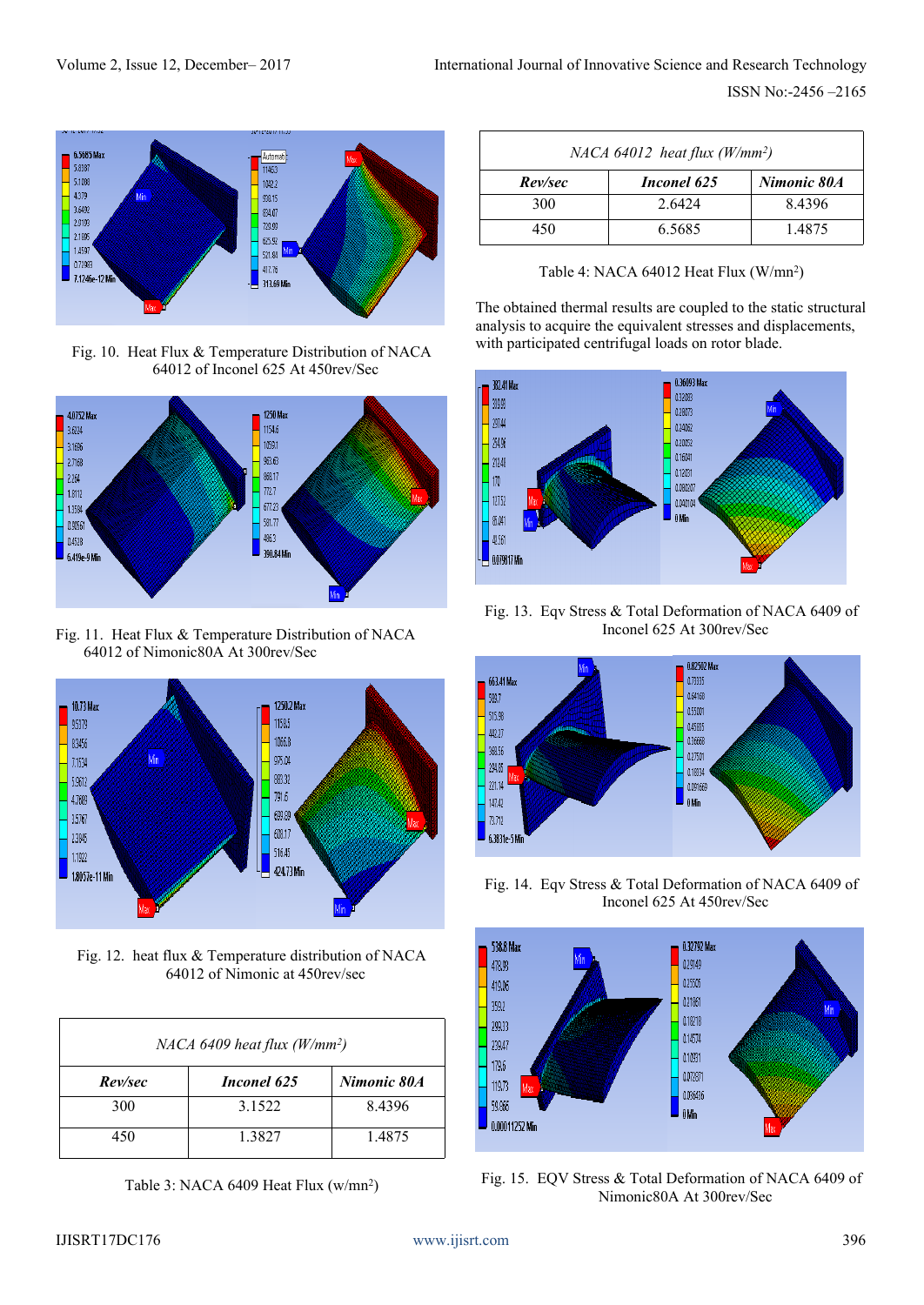

Fig. 10. Heat Flux & Temperature Distribution of NACA 64012 of Inconel 625 At 450rev/Sec



Fig. 11. Heat Flux & Temperature Distribution of NACA 64012 of Nimonic80A At 300rev/Sec



Fig. 12. heat flux & Temperature distribution of NACA 64012 of Nimonic at 450rev/sec

| NACA 6409 heat flux $(W/mm^2)$ |             |             |
|--------------------------------|-------------|-------------|
| Rev/sec                        | Inconel 625 | Nimonic 80A |
| 300                            | 3 1 5 2 2   | 8.4396      |
| 450                            | 1.3827      | 1.4875      |

Table 3: NACA 6409 Heat Flux (w/mn<sup>2</sup>)

| $NACA$ 64012 heat flux (W/mm <sup>2</sup> ) |             |             |
|---------------------------------------------|-------------|-------------|
| Rev/sec                                     | Inconel 625 | Nimonic 80A |
| 300                                         | 2.6424      | 84396       |
| 450                                         | 6.5685      | 14875       |

Table 4: NACA 64012 Heat Flux (W/mn<sup>2</sup>)

The obtained thermal results are coupled to the static structural analysis to acquire the equivalent stresses and displacements, with participated centrifugal loads on rotor blade.



Fig. 13. Eqv Stress & Total Deformation of NACA 6409 of Inconel 625 At 300rev/Sec



Fig. 14. Eqv Stress & Total Deformation of NACA 6409 of Inconel 625 At 450rev/Sec



Fig. 15. EQV Stress & Total Deformation of NACA 6409 of Nimonic80A At 300rev/Sec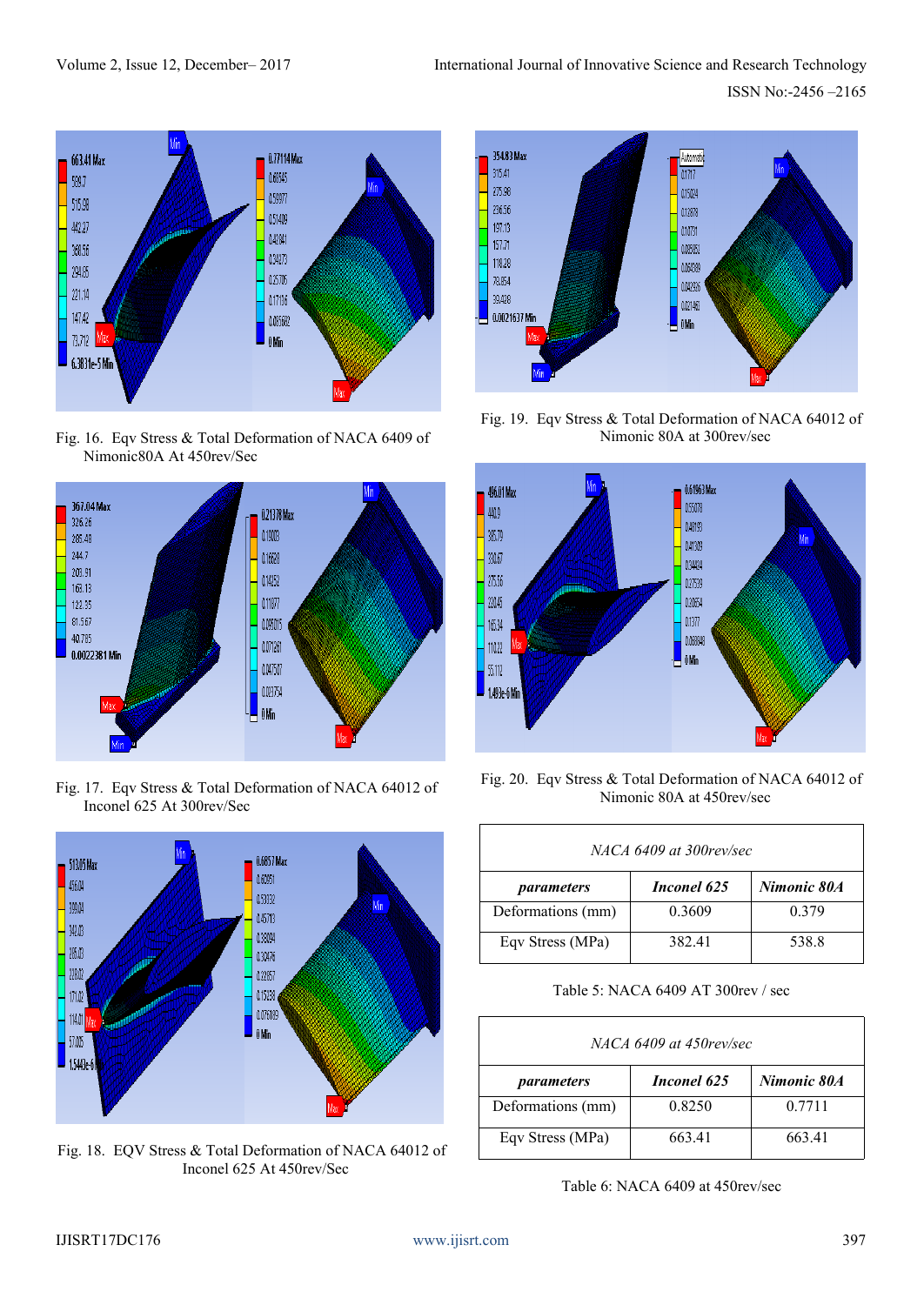

Fig. 16. Eqv Stress & Total Deformation of NACA 6409 of Nimonic80A At 450rev/Sec



Fig. 17. Eqv Stress & Total Deformation of NACA 64012 of Inconel 625 At 300rev/Sec



Fig. 18. EQV Stress & Total Deformation of NACA 64012 of Inconel 625 At 450rev/Sec



Fig. 19. Eqv Stress & Total Deformation of NACA 64012 of Nimonic 80A at 300rev/sec



Fig. 20. Eqv Stress & Total Deformation of NACA 64012 of Nimonic 80A at 450rev/sec

| NACA 6409 at 300 rev/sec |             |             |
|--------------------------|-------------|-------------|
| parameters               | Inconel 625 | Nimonic 80A |
| Deformations (mm)        | 0.3609      | 0.379       |
| Eqv Stress (MPa)         | 382.41      | 538.8       |

Table 5: NACA 6409 AT 300rev / sec

| NACA 6409 at 450 rev/sec |             |             |
|--------------------------|-------------|-------------|
| parameters               | Inconel 625 | Nimonic 80A |
| Deformations (mm)        | 0.8250      | 0.7711      |
| Eqv Stress (MPa)         | 663.41      | 663.41      |

Table 6: NACA 6409 at 450rev/sec